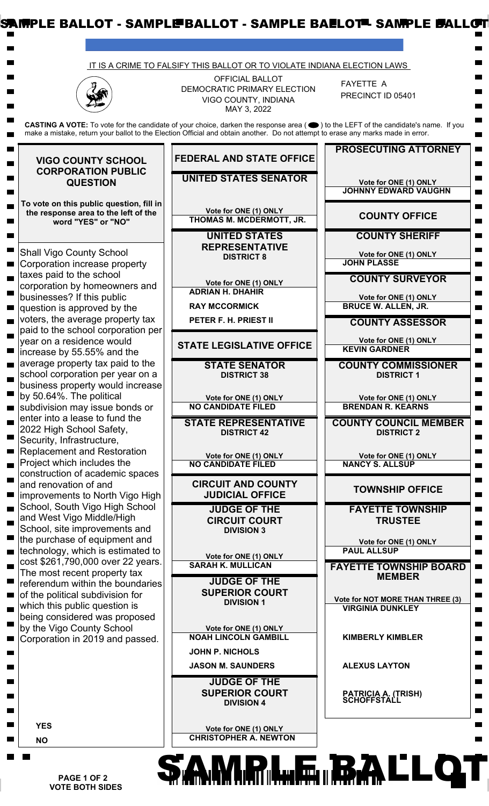